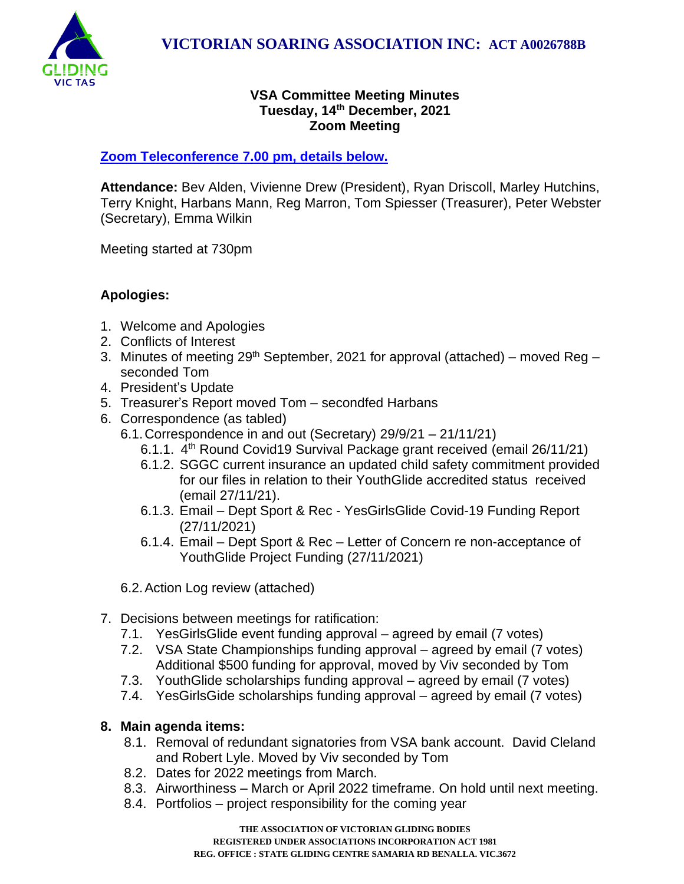

### **VSA Committee Meeting Minutes Tuesday, 14th December, 2021 Zoom Meeting**

## **[Zoom Teleconference 7.00](#page-1-0) pm, details below.**

**Attendance:** Bev Alden, Vivienne Drew (President), Ryan Driscoll, Marley Hutchins, Terry Knight, Harbans Mann, Reg Marron, Tom Spiesser (Treasurer), Peter Webster (Secretary), Emma Wilkin

Meeting started at 730pm

# **Apologies:**

- 1. Welcome and Apologies
- 2. Conflicts of Interest
- 3. Minutes of meeting 29<sup>th</sup> September, 2021 for approval (attached) moved Reg seconded Tom
- 4. President's Update
- 5. Treasurer's Report moved Tom secondfed Harbans
- 6. Correspondence (as tabled)
	- 6.1.Correspondence in and out (Secretary) 29/9/21 21/11/21)
		- 6.1.1. 4<sup>th</sup> Round Covid19 Survival Package grant received (email 26/11/21)
		- 6.1.2. SGGC current insurance an updated child safety commitment provided for our files in relation to their YouthGlide accredited status received (email 27/11/21).
		- 6.1.3. Email Dept Sport & Rec YesGirlsGlide Covid-19 Funding Report (27/11/2021)
		- 6.1.4. Email Dept Sport & Rec Letter of Concern re non-acceptance of YouthGlide Project Funding (27/11/2021)

6.2.Action Log review (attached)

- 7. Decisions between meetings for ratification:
	- 7.1. YesGirlsGlide event funding approval agreed by email (7 votes)
	- 7.2. VSA State Championships funding approval agreed by email (7 votes) Additional \$500 funding for approval, moved by Viv seconded by Tom
	- 7.3. YouthGlide scholarships funding approval agreed by email (7 votes)
	- 7.4. YesGirlsGide scholarships funding approval agreed by email (7 votes)

## **8. Main agenda items:**

- 8.1. Removal of redundant signatories from VSA bank account. David Cleland and Robert Lyle. Moved by Viv seconded by Tom
- 8.2. Dates for 2022 meetings from March.
- 8.3. Airworthiness March or April 2022 timeframe. On hold until next meeting.
- 8.4. Portfolios project responsibility for the coming year